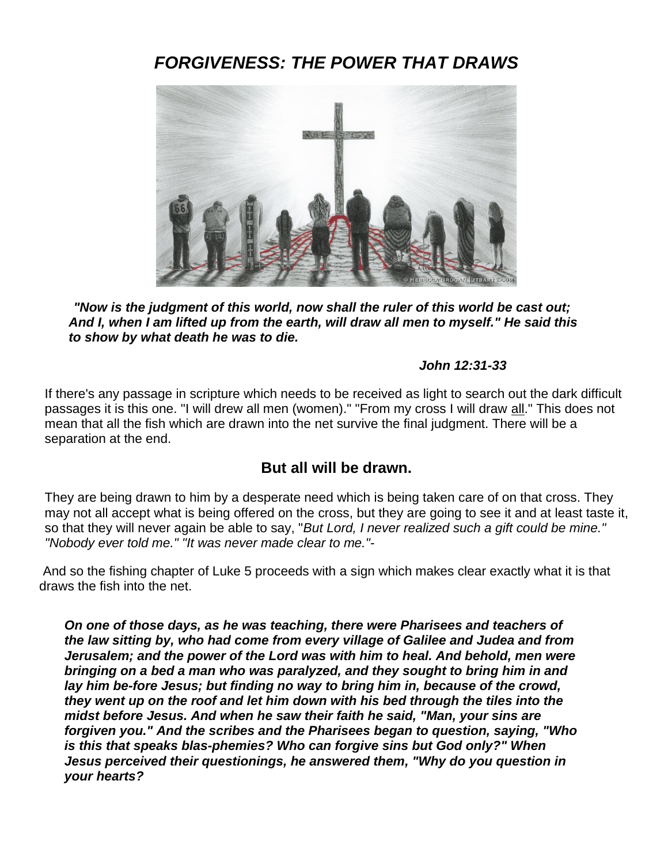# *FORGIVENESS: THE POWER THAT DRAWS*



*"Now is the judgment of this world, now shall the ruler of this world be cast out; And I, when I am lifted up from the earth, will draw all men to myself." He said this to show by what death he was to die.* 

#### *John 12:31-33*

If there's any passage in scripture which needs to be received as light to search out the dark difficult passages it is this one. "I will drew all men (women)." "From my cross I will draw all." This does not mean that all the fish which are drawn into the net survive the final judgment. There will be a separation at the end.

# **But all will be drawn.**

They are being drawn to him by a desperate need which is being taken care of on that cross. They may not all accept what is being offered on the cross, but they are going to see it and at least taste it, so that they will never again be able to say, "*But Lord, I never realized such a gift could be mine." "Nobody ever told me." "It was never made clear to me."-*

And so the fishing chapter of Luke 5 proceeds with a sign which makes clear exactly what it is that draws the fish into the net.

*On one of those days, as he was teaching, there were Pharisees and teachers of the law sitting by, who had come from every village of Galilee and Judea and from Jerusalem; and the power of the Lord was with him to heal. And behold, men were bringing on a bed a man who was paralyzed, and they sought to bring him in and lay him be-fore Jesus; but finding no way to bring him in, because of the crowd, they went up on the roof and let him down with his bed through the tiles into the midst before Jesus. And when he saw their faith he said, "Man, your sins are forgiven you." And the scribes and the Pharisees began to question, saying, "Who is this that speaks blas-phemies? Who can forgive sins but God only?" When Jesus perceived their questionings, he answered them, "Why do you question in your hearts?*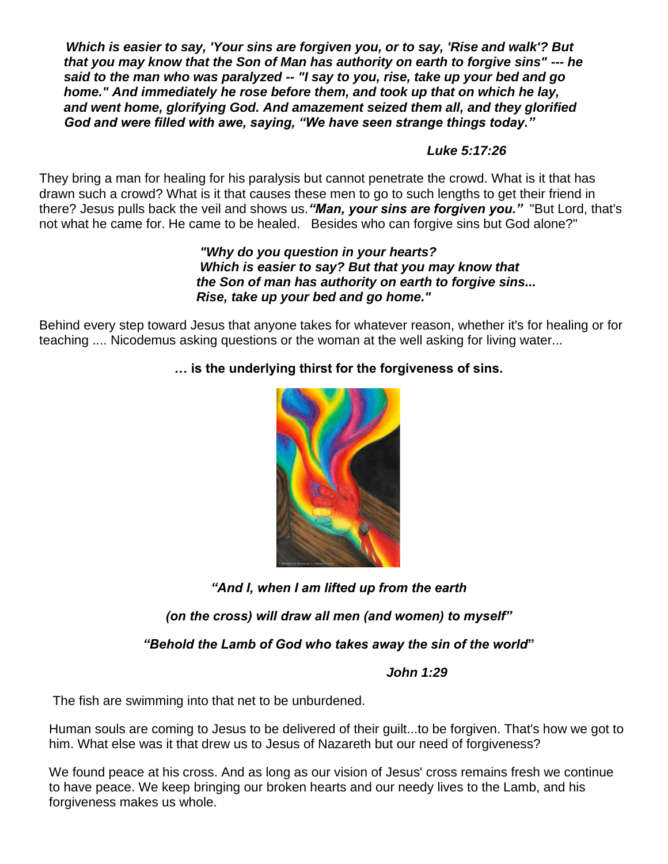*Which is easier to say, 'Your sins are forgiven you, or to say, 'Rise and walk'? But that you may know that the Son of Man has authority on earth to forgive sins" --- he said to the man who was paralyzed -- "I say to you, rise, take up your bed and go home." And immediately he rose before them, and took up that on which he lay, and went home, glorifying God. And amazement seized them all, and they glorified God and were filled with awe, saying, "We have seen strange things today."*

### *Luke 5:17:26*

They bring a man for healing for his paralysis but cannot penetrate the crowd. What is it that has drawn such a crowd? What is it that causes these men to go to such lengths to get their friend in there? Jesus pulls back the veil and shows us.*"Man, your sins are forgiven you."* "But Lord, that's not what he came for. He came to be healed. Besides who can forgive sins but God alone?"

#### *"Why do you question in your hearts? Which is easier to say? But that you may know that the Son of man has authority on earth to forgive sins... Rise, take up your bed and go home."*

Behind every step toward Jesus that anyone takes for whatever reason, whether it's for healing or for teaching .... Nicodemus asking questions or the woman at the well asking for living water...

# **… is the underlying thirst for the forgiveness of sins.**



*"And I, when I am lifted up from the earth*

*(on the cross) will draw all men (and women) to myself"*

*"Behold the Lamb of God who takes away the sin of the world***"**

### *John 1:29*

The fish are swimming into that net to be unburdened.

Human souls are coming to Jesus to be delivered of their guilt...to be forgiven. That's how we got to him. What else was it that drew us to Jesus of Nazareth but our need of forgiveness?

We found peace at his cross. And as long as our vision of Jesus' cross remains fresh we continue to have peace. We keep bringing our broken hearts and our needy lives to the Lamb, and his forgiveness makes us whole.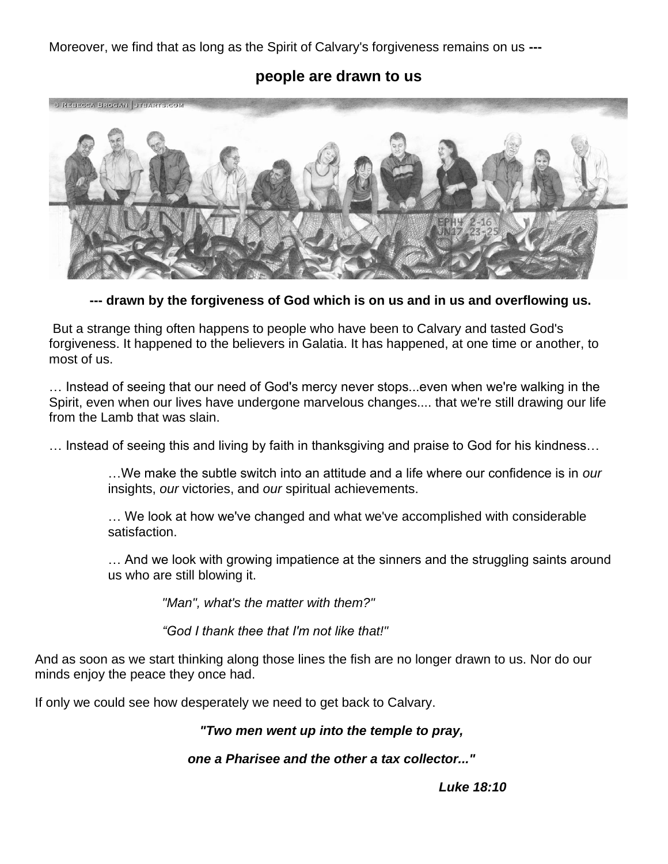Moreover, we find that as long as the Spirit of Calvary's forgiveness remains on us **---**

### **people are drawn to us**



**--- drawn by the forgiveness of God which is on us and in us and overflowing us.**

But a strange thing often happens to people who have been to Calvary and tasted God's forgiveness. It happened to the believers in Galatia. It has happened, at one time or another, to most of us.

… Instead of seeing that our need of God's mercy never stops...even when we're walking in the Spirit, even when our lives have undergone marvelous changes.... that we're still drawing our life from the Lamb that was slain.

… Instead of seeing this and living by faith in thanksgiving and praise to God for his kindness…

…We make the subtle switch into an attitude and a life where our confidence is in *our* insights, *our* victories, and *our* spiritual achievements.

… We look at how we've changed and what we've accomplished with considerable satisfaction.

… And we look with growing impatience at the sinners and the struggling saints around us who are still blowing it.

*"Man", what's the matter with them?"*

*"God I thank thee that I'm not like that!"*

And as soon as we start thinking along those lines the fish are no longer drawn to us. Nor do our minds enjoy the peace they once had.

If only we could see how desperately we need to get back to Calvary.

#### *"Two men went up into the temple to pray,*

#### *one a Pharisee and the other a tax collector..."*

*Luke 18:10*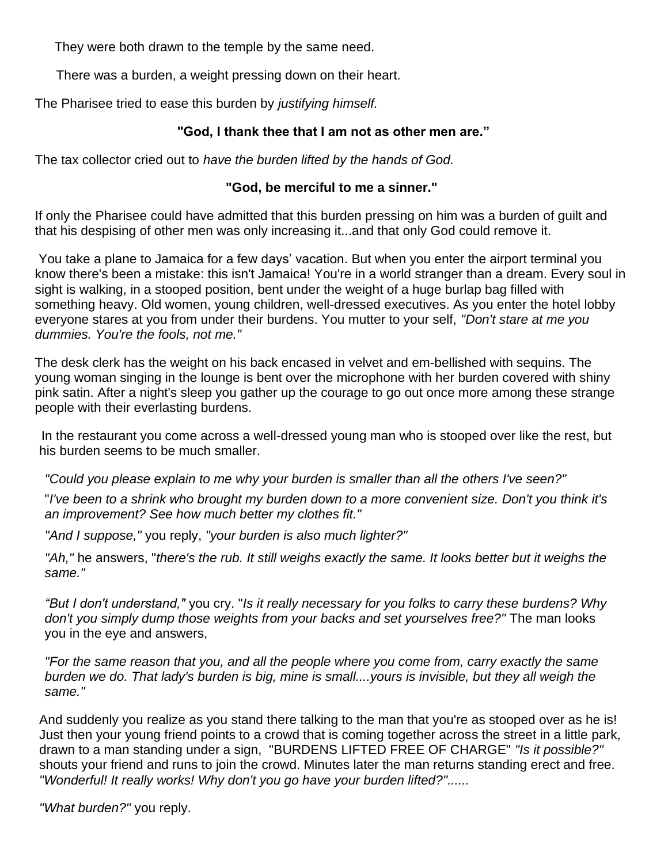They were both drawn to the temple by the same need.

There was a burden, a weight pressing down on their heart.

The Pharisee tried to ease this burden by *justifying himself.*

### **"God, I thank thee that I am not as other men are."**

The tax collector cried out to *have the burden lifted by the hands of God.*

### **"God, be merciful to me a sinner."**

If only the Pharisee could have admitted that this burden pressing on him was a burden of guilt and that his despising of other men was only increasing it...and that only God could remove it.

You take a plane to Jamaica for a few days' vacation. But when you enter the airport terminal you know there's been a mistake: this isn't Jamaica! You're in a world stranger than a dream. Every soul in sight is walking, in a stooped position, bent under the weight of a huge burlap bag filled with something heavy. Old women, young children, well-dressed executives. As you enter the hotel lobby everyone stares at you from under their burdens. You mutter to your self, *"Don't stare at me you dummies. You're the fools, not me."*

The desk clerk has the weight on his back encased in velvet and em-bellished with sequins. The young woman singing in the lounge is bent over the microphone with her burden covered with shiny pink satin. After a night's sleep you gather up the courage to go out once more among these strange people with their everlasting burdens.

In the restaurant you come across a well-dressed young man who is stooped over like the rest, but his burden seems to be much smaller.

*"Could you please explain to me why your burden is smaller than all the others I've seen?"*

"*I've been to a shrink who brought my burden down to a more convenient size. Don't you think it's an improvement? See how much better my clothes fit."*

*"And I suppose,"* you reply, *"your burden is also much lighter?"*

*"Ah,"* he answers, "*there's the rub. It still weighs exactly the same. It looks better but it weighs the same."*

*"But I don't understand,"* you cry. "*Is it really necessary for you folks to carry these burdens? Why don't you simply dump those weights from your backs and set yourselves free?"* The man looks you in the eye and answers,

*"For the same reason that you, and all the people where you come from, carry exactly the same burden we do. That lady's burden is big, mine is small....yours is invisible, but they all weigh the same."*

And suddenly you realize as you stand there talking to the man that you're as stooped over as he is! Just then your young friend points to a crowd that is coming together across the street in a little park, drawn to a man standing under a sign, "BURDENS LIFTED FREE OF CHARGE" *"Is it possible?"* shouts your friend and runs to join the crowd. Minutes later the man returns standing erect and free. *"Wonderful! It really works! Why don't you go have your burden lifted?"......*

*"What burden?"* you reply.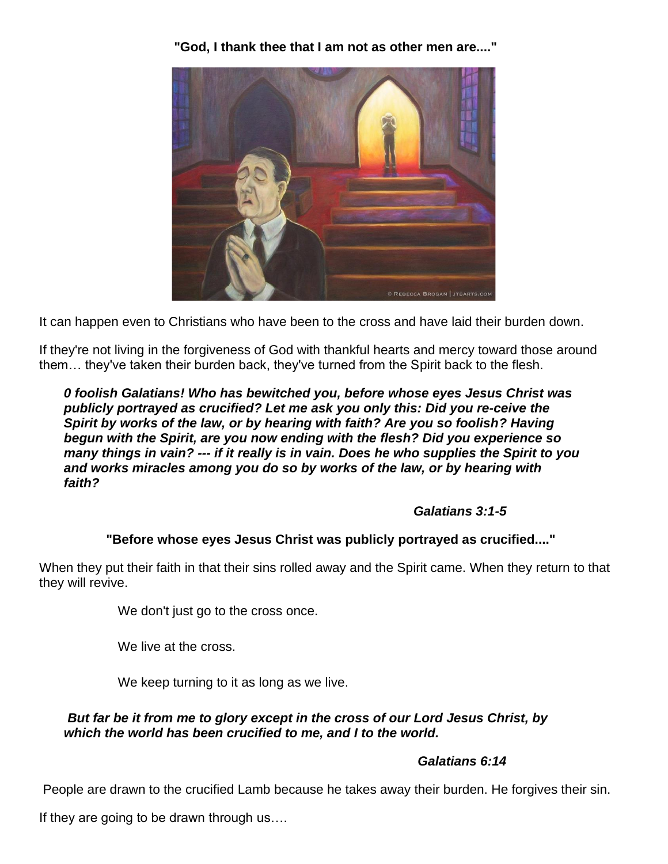**"God, I thank thee that I am not as other men are...."**



It can happen even to Christians who have been to the cross and have laid their burden down.

If they're not living in the forgiveness of God with thankful hearts and mercy toward those around them… they've taken their burden back, they've turned from the Spirit back to the flesh.

*0 foolish Galatians! Who has bewitched you, before whose eyes Jesus Christ was publicly portrayed as crucified? Let me ask you only this: Did you re-ceive the Spirit by works of the law, or by hearing with faith? Are you so foolish? Having begun with the Spirit, are you now ending with the flesh? Did you experience so many things in vain? --- if it really is in vain. Does he who supplies the Spirit to you and works miracles among you do so by works of the law, or by hearing with faith?*

# *Galatians 3:1-5*

# **"Before whose eyes Jesus Christ was publicly portrayed as crucified...."**

When they put their faith in that their sins rolled away and the Spirit came. When they return to that they will revive.

We don't just go to the cross once.

We live at the cross.

We keep turning to it as long as we live.

#### *But far be it from me to glory except in the cross of our Lord Jesus Christ, by which the world has been crucified to me, and I to the world.*

# *Galatians 6:14*

People are drawn to the crucified Lamb because he takes away their burden. He forgives their sin.

If they are going to be drawn through us….